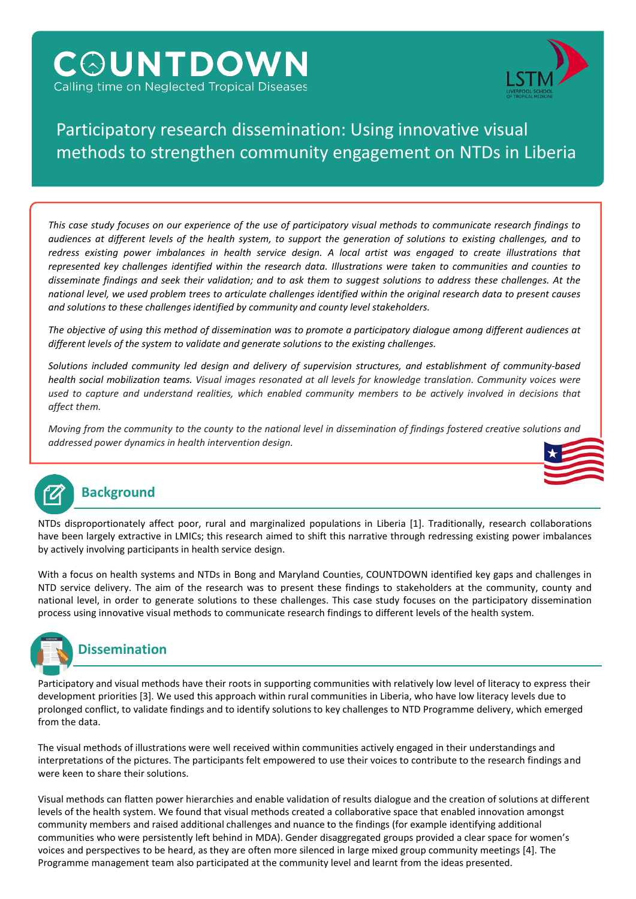# **COUNTDOWN** Calling time on Neglected Tropical Diseases



## Participatory research dissemination: Using innovative visual methods to strengthen community engagement on NTDs in Liberia

This case study focuses on our experience of the use of participatory visual methods to communicate research findings to audiences at different levels of the health system, to support the generation of solutions to existing challenges, and to redress existing power imbalances in health service design. A local artist was engaged to create illustrations that represented key challenges identified within the research data. Illustrations were taken to communities and counties to disseminate findings and seek their validation; and to ask them to suggest solutions to address these challenges. At the national level, we used problem trees to articulate challenges identified within the original research data to present causes *and solutions to these challenges identified by community and county level stakeholders.*

The objective of using this method of dissemination was to promote a participatory dialoque among different audiences at *different levels of the system to validate and generate solutions to the existing challenges.*

*Solutions included community led design and delivery of supervision structures, and establishment of community-based* health social mobilization teams. Visual images resonated at all levels for knowledge translation. Community voices were used to capture and understand realities, which enabled community members to be actively involved in decisions that *affect them.*

Movina from the community to the county to the national level in dissemination of findinas fostered creative solutions and *addressed power dynamics in health intervention design.*



#### **Background**

NTDs disproportionately affect poor, rural and marginalized populations in Liberia [1]. Traditionally, research collaborations have been largely extractive in LMICs; this research aimed to shift this narrative through redressing existing power imbalances by actively involving participants in health service design.

With a focus on health systems and NTDs in Bong and Maryland Counties, COUNTDOWN identified key gaps and challenges in NTD service delivery. The aim of the research was to present these findings to stakeholders at the community, county and national level, in order to generate solutions to these challenges. This case study focuses on the participatory dissemination process using innovative visual methods to communicate research findings to different levels of the health system.



Participatory and visual methods have their roots in supporting communities with relatively low level of literacy to express their development priorities [3]. We used this approach within rural communities in Liberia, who have low literacy levels due to prolonged conflict, to validate findings and to identify solutions to key challenges to NTD Programme delivery, which emerged from the data.

The visual methods of illustrations were well received within communities actively engaged in their understandings and interpretations of the pictures. The participants felt empowered to use their voices to contribute to the research findings and were keen to share their solutions.

Visual methods can flatten power hierarchies and enable validation of results dialogue and the creation of solutions at different levels of the health system. We found that visual methods created a collaborative space that enabled innovation amongst community members and raised additional challenges and nuance to the findings (for example identifying additional communities who were persistently left behind in MDA). Gender disaggregated groups provided a clear space for women's voices and perspectives to be heard, as they are often more silenced in large mixed group community meetings [4]. The Programme management team also participated at the community level and learnt from the ideas presented.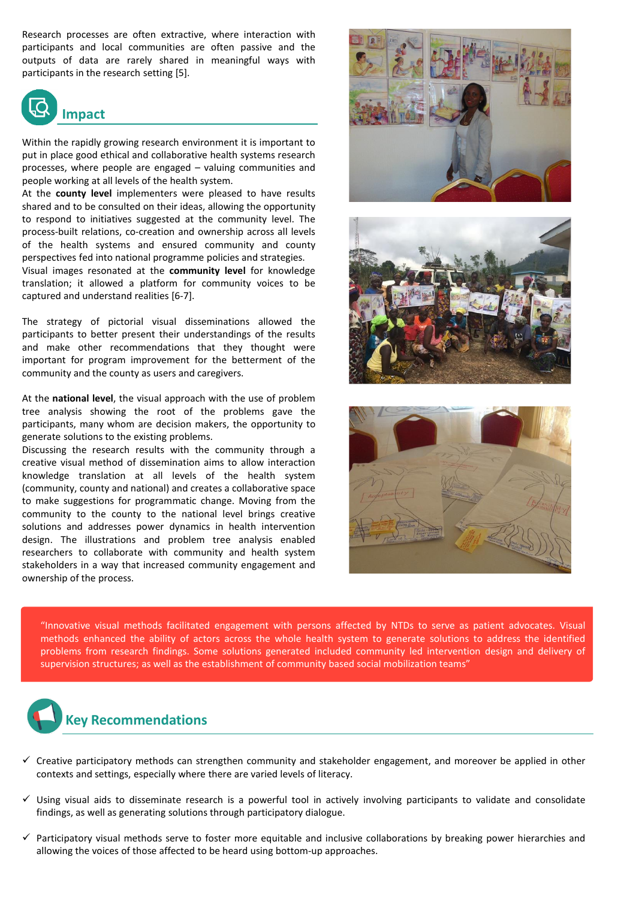Research processes are often extractive, where interaction with participants and local communities are often passive and the outputs of data are rarely shared in meaningful ways with participants in the research setting [5].



Within the rapidly growing research environment it is important to put in place good ethical and collaborative health systems research processes, where people are engaged – valuing communities and people working at all levels of the health system.

At the **county level** implementers were pleased to have results shared and to be consulted on their ideas, allowing the opportunity to respond to initiatives suggested at the community level. The process-built relations, co-creation and ownership across all levels of the health systems and ensured community and county perspectives fed into national programme policies and strategies.

Visual images resonated at the **community level** for knowledge translation; it allowed a platform for community voices to be captured and understand realities [6-7].

The strategy of pictorial visual disseminations allowed the participants to better present their understandings of the results and make other recommendations that they thought were important for program improvement for the betterment of the community and the county as users and caregivers.

At the **national level**, the visual approach with the use of problem tree analysis showing the root of the problems gave the participants, many whom are decision makers, the opportunity to generate solutions to the existing problems.

Discussing the research results with the community through a creative visual method of dissemination aims to allow interaction knowledge translation at all levels of the health system (community, county and national) and creates a collaborative space to make suggestions for programmatic change. Moving from the community to the county to the national level brings creative solutions and addresses power dynamics in health intervention design. The illustrations and problem tree analysis enabled researchers to collaborate with community and health system stakeholders in a way that increased community engagement and ownership of the process.







"Innovative visual methods facilitated engagement with persons affected by NTDs to serve as patient advocates. Visual methods enhanced the ability of actors across the whole health system to generate solutions to address the identified problems from research findings. Some solutions generated included community led intervention design and delivery of supervision structures; as well as the establishment of community based social mobilization teams"



- $\checkmark$  Creative participatory methods can strengthen community and stakeholder engagement, and moreover be applied in other contexts and settings, especially where there are varied levels of literacy.
- ✓ Using visual aids to disseminate research is a powerful tool in actively involving participants to validate and consolidate findings, as well as generating solutions through participatory dialogue.
- $\checkmark$  Participatory visual methods serve to foster more equitable and inclusive collaborations by breaking power hierarchies and allowing the voices of those affected to be heard using bottom-up approaches.